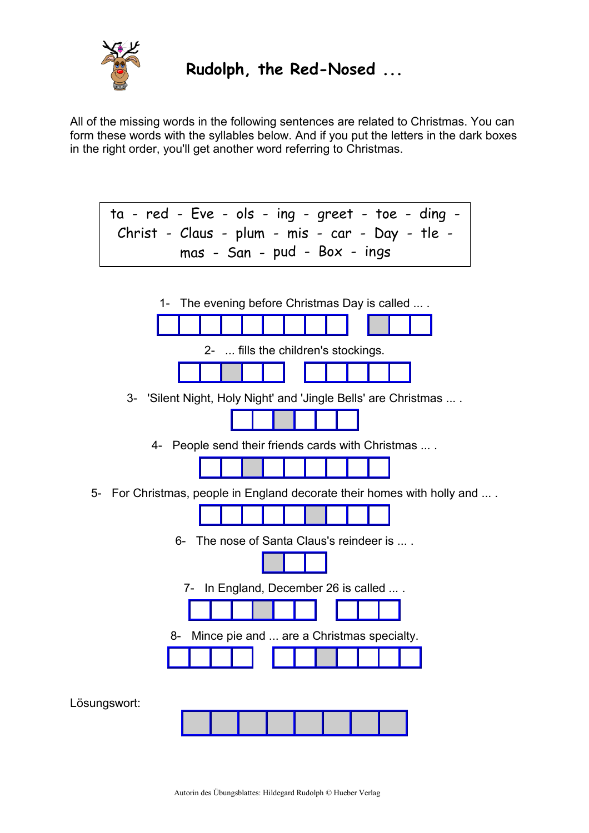

**Rudolph, the Red-Nosed ...**

All of the missing words in the following sentences are related to Christmas. You can form these words with the syllables below. And if you put the letters in the dark boxes in the right order, you'll get another word referring to Christmas.